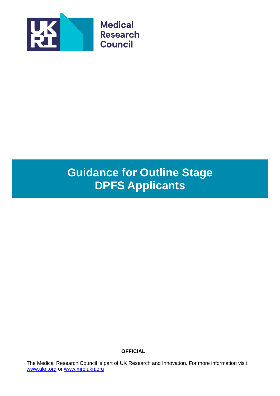

# **Guidance for Outline Stage DPFS Applicants**

**OFFICIAL**

The Medical Research Council is part of UK Research and Innovation. For more information visit [www.ukri.org](http://www.ukri.org/) or [www.mrc.ukri.org](http://www.mrc.ukri.org/)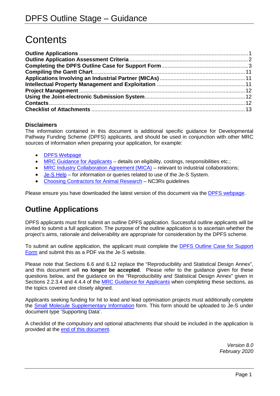# **Contents**

# **Disclaimers**

The information contained in this document is additional specific guidance for Developmental Pathway Funding Scheme (DPFS) applicants, and should be used in conjunction with other MRC sources of information when preparing your application, for example:

- [DPFS Webpage](https://mrc.ukri.org/funding/science-areas/translation/biomedical-catalyst/)
- [MRC Guidance for Applicants](https://mrc.ukri.org/funding/guidance-for-applicants/1-who-can-apply-and-how-to-apply/#1.3) details on eligibility, costings, responsibilities etc.;
- [MRC Industry Collaboration Agreement \(MICA\)](https://mrc.ukri.org/innovation/mrc-industry-collaboration-agreement-mica/#Collaboration%20agreement) relevant to industrial collaborations;
- [Je-S Help](https://je-s.rcuk.ac.uk/Handbook/Index.htm) for information or queries related to use of the Je-S System.
- [Choosing Contractors for Animal Research](https://www.nc3rs.org.uk/news/choosing-contractors-animal-research) NC3Rs guidelines

Please ensure you have downloaded the latest version of this document via the [DPFS webpage.](https://mrc.ukri.org/funding/science-areas/translation/biomedical-catalyst/)

# <span id="page-1-0"></span>**Outline Applications**

DPFS applicants must first submit an outline DPFS application. Successful outline applicants will be invited to submit a full application. The purpose of the outline application is to ascertain whether the project's aims, rationale and deliverability are appropriate for consideration by the DPFS scheme.

To submit an outline application, the applicant must complete the DPFS [Outline Case for Support](http://www.mrc.ac.uk/documents/doc/dpfs-outline-case-for-support-form/) [Form](http://www.mrc.ac.uk/documents/doc/dpfs-outline-case-for-support-form/) and submit this as a PDF via the Je-S website.

Please note that Sections 6.6 and 6.12 replace the "Reproducibility and Statistical Design Annex", and this document will **no longer be accepted**. Please refer to the guidance given for these questions below, and the guidance on the "Reproducibility and Statistical Design Annex" given in Sections 2.2.3.4 and 4.4.4 of the [MRC Guidance for Applicants](https://mrc.ukri.org/funding/guidance-for-applicants/1-who-can-apply-and-how-to-apply/#1.3) when completing these sections, as the topics covered are closely aligned.

Applicants seeking funding for hit to lead and lead optimisation projects must additionally complete the [Small Molecule Supplementary Information](https://mrc.ukri.org/documents/doc/bmc-dpfs-small-molecule-supplementary-information/) form. This form should be uploaded to Je-S under document type 'Supporting Data'.

A checklist of the compulsory and optional attachments that should be included in the application is provided at the [end of this document.](#page-13-0)

> *Version 8.0 February 2020*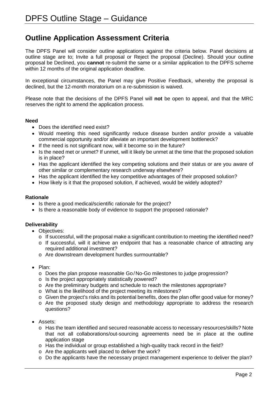# <span id="page-2-0"></span>**Outline Application Assessment Criteria**

The DPFS Panel will consider outline applications against the criteria below. Panel decisions at outline stage are to; Invite a full proposal or Reject the proposal (Decline). Should your outline proposal be Declined, you **cannot** re-submit the same or a similar application to the DPFS scheme within 12 months of the original application deadline.

In exceptional circumstances, the Panel may give Positive Feedback, whereby the proposal is declined, but the 12-month moratorium on a re-submission is waived.

Please note that the decisions of the DPFS Panel will **not** be open to appeal, and that the MRC reserves the right to amend the application process.

### **Need**

- Does the identified need exist?
- Would meeting this need significantly reduce disease burden and/or provide a valuable commercial opportunity and/or alleviate an important development bottleneck?
- If the need is not significant now, will it become so in the future?
- Is the need met or unmet? If unmet, will it likely be unmet at the time that the proposed solution is in place?
- Has the applicant identified the key competing solutions and their status or are you aware of other similar or complementary research underway elsewhere?
- Has the applicant identified the key competitive advantages of their proposed solution?
- How likely is it that the proposed solution, if achieved, would be widely adopted?

### **Rationale**

- Is there a good medical/scientific rationale for the project?
- Is there a reasonable body of evidence to support the proposed rationale?

# **Deliverability**

- Objectives:
	- o If successful, will the proposal make a significant contribution to meeting the identified need?
	- o If successful, will it achieve an endpoint that has a reasonable chance of attracting any required additional investment?
	- o Are downstream development hurdles surmountable?
- Plan:
	- o Does the plan propose reasonable Go/No-Go milestones to judge progression?
	- o Is the project appropriately statistically powered?
	- o Are the preliminary budgets and schedule to reach the milestones appropriate?
	- o What is the likelihood of the project meeting its milestones?
	- o Given the project's risks and its potential benefits, does the plan offer good value for money?
	- $\circ$  Are the proposed study design and methodology appropriate to address the research questions?
- Assets:
	- o Has the team identified and secured reasonable access to necessary resources/skills? Note that not all collaborations/out-sourcing agreements need be in place at the outline application stage
	- $\circ$  Has the individual or group established a high-quality track record in the field?
	- o Are the applicants well placed to deliver the work?
	- $\circ$  Do the applicants have the necessary project management experience to deliver the plan?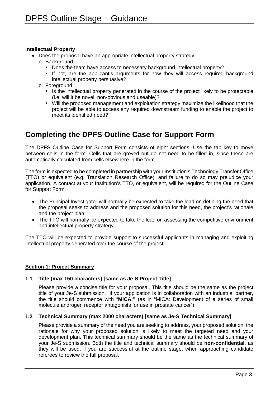#### **Intellectual Property**

- Does the proposal have an appropriate intellectual property strategy:
	- o Background
		- Does the team have access to necessary background intellectual property?
		- If not, are the applicant's arguments for how they will access required background intellectual property persuasive?
	- o Foreground
		- In Is the intellectual property generated in the course of the project likely to be protectable (i.e. will it be novel, non-obvious and useable)?
		- Will the proposed management and exploitation strategy maximize the likelihood that the project will be able to access any required downstream funding to enable the project to meet its identified need?

# <span id="page-3-0"></span>**Completing the DPFS Outline Case for Support Form**

The DPFS Outline Case for Support Form consists of eight sections. Use the tab key to move between cells in the form. Cells that are greyed out do not need to be filled in, since these are automatically calculated from cells elsewhere in the form.

The form is expected to be completed in partnership with your Institution's Technology Transfer Office (TTO) or equivalent (e.g. Translation Research Office), and failure to do so may prejudice your application. A contact at your Institution's TTO, or equivalent, will be required for the Outline Case for Support Form.

- The Principal Investigator will normally be expected to take the lead on defining the need that the proposal seeks to address and the proposed solution for this need, the project's rationale and the project plan
- The TTO will normally be expected to take the lead on assessing the competitive environment and intellectual property strategy

The TTO will be expected to provide support to successful applicants in managing and exploiting intellectual property generated over the course of the project.

#### **Section 1: Project Summary**

# **1.1 Title (max 150 characters) [same as Je-S Project Title]**

Please provide a concise title for your proposal. This title should be the same as the project title of your Je-S submission. If your application is in collaboration with an industrial partner, the title should commence with "**MICA:**'' (as in "MICA: Development of a series of small molecule androgen receptor antagonists for use in prostate cancer").

# **1.2 Technical Summary (max 2000 characters) [same as Je-S Technical Summary]**

Please provide a summary of the need you are seeking to address, your proposed solution, the rationale for why your proposed solution is likely to meet the targeted need and your development plan. This technical summary should be the same as the technical summary of your Je-S submission. Both the title and technical summary should be **non-confidential**, as they will be used, if you are successful at the outline stage, when approaching candidate referees to review the full proposal.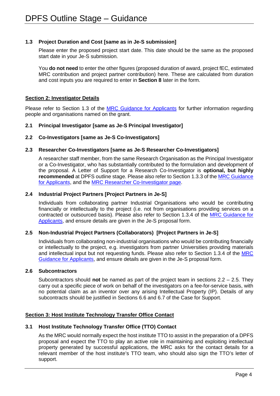## **1.3 Project Duration and Cost [same as in Je-S submission]**

Please enter the proposed project start date. This date should be the same as the proposed start date in your Je-S submission.

You **do not need** to enter the other figures (proposed duration of award, project fEC, estimated MRC contribution and project partner contribution) here. These are calculated from duration and cost inputs you are required to enter in **Section 8** later in the form.

## **Section 2: Investigator Details**

Please refer to Section 1.3 of the [MRC Guidance for Applicants](https://mrc.ukri.org/funding/guidance-for-applicants/1-who-can-apply-and-how-to-apply/#1.3) for further information regarding people and organisations named on the grant.

## **2.1 Principal Investigator [same as Je-S Principal Investigator]**

## **2.2 Co-Investigators [same as Je-S Co-Investigators]**

## **2.3 Researcher Co-Investigators [same as Je-S Researcher Co-Investigators]**

A researcher staff member, from the same Research Organisation as the Principal Investigator or a Co-Investigator, who has substantially contributed to the formulation and development of the proposal. A Letter of Support for a Research Co-Investigator is **optional, but highly recommended** at DPFS outline stage. Please also refer to Section 1.3.3 of the [MRC Guidance](https://mrc.ukri.org/funding/guidance-for-applicants/1-who-can-apply-and-how-to-apply/#1.3)  [for Applicants,](https://mrc.ukri.org/funding/guidance-for-applicants/1-who-can-apply-and-how-to-apply/#1.3) and the [MRC Researcher Co-Investigator page.](https://mrc.ukri.org/skills-careers/additional-career-support/researcher-co-investigator-rcoi/)

## **2.4 Industrial Project Partners [Project Partners in Je-S]**

Individuals from collaborating partner Industrial Organisations who would be contributing financially or intellectually to the project (i.e. not from organisations providing services on a contracted or outsourced basis). Please also refer to Section 1.3.4 of the [MRC Guidance for](https://mrc.ukri.org/funding/guidance-for-applicants/1-who-can-apply-and-how-to-apply/#1.3)  [Applicants,](https://mrc.ukri.org/funding/guidance-for-applicants/1-who-can-apply-and-how-to-apply/#1.3) and ensure details are given in the Je-S proposal form.

# **2.5 Non-Industrial Project Partners (Collaborators) [Project Partners in Je-S]**

Individuals from collaborating non-industrial organisations who would be contributing financially or intellectually to the project, e.g. investigators from partner Universities providing materials and intellectual input but not requesting funds. Please also refer to Section 1.3.4 of the [MRC](https://mrc.ukri.org/funding/guidance-for-applicants/1-who-can-apply-and-how-to-apply/#1.3)  [Guidance for Applicants,](https://mrc.ukri.org/funding/guidance-for-applicants/1-who-can-apply-and-how-to-apply/#1.3) and ensure details are given in the Je-S proposal form.

#### **2.6 Subcontractors**

Subcontractors should **not** be named as part of the project team in sections 2.2 – 2.5. They carry out a specific piece of work on behalf of the investigators on a fee-for-service basis, with no potential claim as an inventor over any arising Intellectual Property (IP). Details of any subcontracts should be justified in Sections 6.6 and 6.7 of the Case for Support.

# **Section 3: Host Institute Technology Transfer Office Contact**

### **3.1 Host Institute Technology Transfer Office (TTO) Contact**

As the MRC would normally expect the host institute TTO to assist in the preparation of a DPFS proposal and expect the TTO to play an active role in maintaining and exploiting intellectual property generated by successful applications, the MRC asks for the contact details for a relevant member of the host institute's TTO team, who should also sign the TTO's letter of support.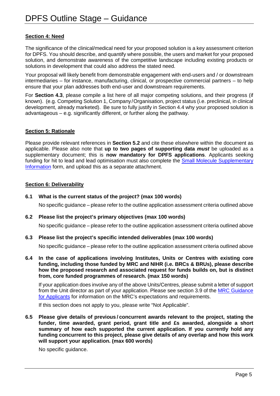# **Section 4: Need**

The significance of the clinical/medical need for your proposed solution is a key assessment criterion for DPFS. You should describe, and quantify where possible, the users and market for your proposed solution, and demonstrate awareness of the competitive landscape including existing products or solutions in development that could also address the stated need.

Your proposal will likely benefit from demonstrable engagement with end-users and / or downstream intermediaries – for instance, manufacturing, clinical, or prospective commercial partners – to help ensure that your plan addresses both end-user and downstream requirements.

For **Section 4.3**, please compile a list here of all major competing solutions, and their progress (if known). (e.g. Competing Solution 1, Company/Organisation, project status (i.e. preclinical, in clinical development, already marketed). Be sure to fully justify in Section 4.4 why your proposed solution is advantageous – e.g. significantly different, or further along the pathway.

# **Section 5: Rationale**

Please provide relevant references in **Section 5.2** and cite these elsewhere within the document as applicable. Please also note that **up to two pages of supporting data** *must* be uploaded as a supplementary document; this is **now mandatory for DPFS applications**. Applicants seeking funding for hit to lead and lead optimisation must also complete the [Small Molecule Supplementary](https://mrc.ukri.org/documents/doc/bmc-dpfs-small-molecule-supplementary-information/)  [Information](https://mrc.ukri.org/documents/doc/bmc-dpfs-small-molecule-supplementary-information/) form, and upload this as a separate attachment.

#### **Section 6: Deliverability**

### **6.1 What is the current status of the project? (max 100 words)**

No specific guidance – please refer to the outline application assessment criteria outlined above

#### **6.2 Please list the project's primary objectives (max 100 words)**

No specific guidance – please refer to the outline application assessment criteria outlined above

#### **6.3 Please list the project's specific intended deliverables (max 100 words)**

No specific guidance – please refer to the outline application assessment criteria outlined above

**6.4 In the case of applications involving Institutes, Units or Centres with existing core funding, including those funded by MRC and NIHR (i.e. BRCs & BRUs), please describe how the proposed research and associated request for funds builds on, but is distinct from, core funded programmes of research. (max 150 words)**

If your application does involve any of the above Units/Centres, please submit a letter of support from the Unit director as part of your application. Please see section 3.9 of the [MRC Guidance](https://mrc.ukri.org/funding/guidance-for-applicants/1-who-can-apply-and-how-to-apply/#1.3)  [for Applicants](https://mrc.ukri.org/funding/guidance-for-applicants/1-who-can-apply-and-how-to-apply/#1.3) for information on the MRC's expectations and requirements.

If this section does not apply to you, please write "Not Applicable".

**6.5 Please give details of previous / concurrent awards relevant to the project, stating the funder, time awarded, grant period, grant title and £s awarded, alongside a short summary of how each supported the current application. If you currently hold any funding concurrent to this project, please give details of any overlap and how this work will support your application. (max 600 words)**

No specific guidance.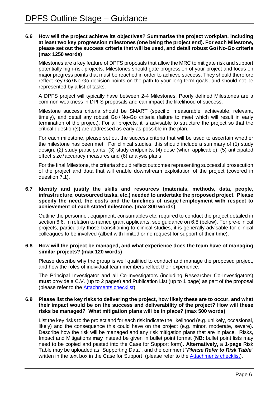#### **6.6 How will the project achieve its objectives? Summarise the project workplan, including at least two key progression milestones (one being the project end). For each Milestone, please set out the success criteria that will be used, and detail robust Go/No-Go criteria (max 1250 words)**

Milestones are a key feature of DPFS proposals that allow the MRC to mitigate risk and support potentially high-risk projects. Milestones should gate progression of your project and focus on major progress points that must be reached in order to achieve success. They should therefore reflect key Go / No-Go decision points on the path to your long-term goals, and should not be represented by a list of tasks.

A DPFS project will typically have between 2-4 Milestones. Poorly defined Milestones are a common weakness in DPFS proposals and can impact the likelihood of success.

Milestone success criteria should be SMART (specific, measurable, achievable, relevant, timely), and detail any robust Go / No-Go criteria (failure to meet which will result in early termination of the project). For all projects, it is advisable to structure the project so that the critical question(s) are addressed as early as possible in the plan.

For each milestone, please set out the success criteria that will be used to ascertain whether the milestone has been met. For clinical studies, this should include a summary of (1) study design, (2) study participants, (3) study endpoints, (4) dose (when applicable), (5) anticipated effect size/accuracy measures and (6) analysis plans

For the final Milestone, the criteria should reflect outcomes representing successful prosecution of the project and data that will enable downstream exploitation of the project (covered in question 7.1).

#### **6.7 Identify and justify the skills and resources (materials, methods, data, people, infrastructure, outsourced tasks, etc.) needed to undertake the proposed project. Please specify the need, the costs and the timelines of usage / employment with respect to achievement of each stated milestone. (max 300 words)**

Outline the personnel, equipment, consumables etc. required to conduct the project detailed in section 6.6. In relation to named grant applicants, see guidance on 6.8 (below). For pre-clinical projects, particularly those transitioning to clinical studies, it is generally advisable for clinical colleagues to be involved (albeit with limited or no request for support of their time).

#### **6.8 How will the project be managed, and what experience does the team have of managing similar projects? (max 120 words)**

Please describe why the group is well qualified to conduct and manage the proposed project, and how the roles of individual team members reflect their experience.

The Principal Investigator and all Co-Investigators (including Researcher Co-Investigators) **must** provide a C.V. (up to 2 pages) and Publication List (up to 1 page) as part of the proposal (please refer to the [Attachments](#page-13-0) checklist).

#### **6.9 Please list the key risks to delivering the project, how likely these are to occur, and what their impact would be on the success and deliverability of the project? How will these risks be managed? What mitigation plans will be in place? (max 500 words)**

List the key risks to the project and for each risk indicate the likelihood (e.g. unlikely, occasional, likely) and the consequence this could have on the project (e.g. minor, moderate, severe). Describe how the risk will be managed and any risk mitigation plans that are in place. Risks, Impact and Mitigations **may** instead be given in bullet point format (**NB:** bullet point lists may need to be copied and pasted into the Case for Support form). **Alternatively,** a **1-page** Risk Table may be uploaded as "Supporting Data", and the comment "*Please Refer to Risk Table*" written in the text box in the Case for Support (please refer to the [Attachments checklist\)](#page-13-0).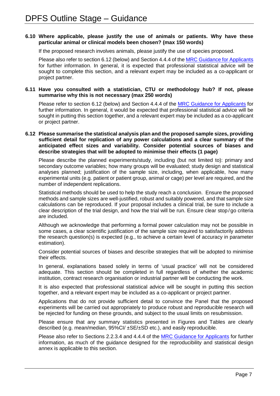#### **6.10 Where applicable, please justify the use of animals or patients. Why have these particular animal or clinical models been chosen? (max 150 words)**

If the proposed research involves animals, please justify the use of species proposed.

Please also refer to section 6.12 (below) and Section 4.4.4 of the [MRC Guidance for Applicants](https://mrc.ukri.org/funding/guidance-for-applicants/1-who-can-apply-and-how-to-apply/#1.3) for further information. In general, it is expected that professional statistical advice will be sought to complete this section, and a relevant expert may be included as a co-applicant or project partner.

#### **6.11 Have you consulted with a statistician, CTU or methodology hub? If not, please summarise why this is not necessary (max 250 words)**

Please refer to section 6.12 (below) and Section 4.4.4 of the [MRC Guidance for Applicants](https://mrc.ukri.org/funding/guidance-for-applicants/1-who-can-apply-and-how-to-apply/#1.3) for further information. In general, it would be expected that professional statistical advice will be sought in putting this section together, and a relevant expert may be included as a co-applicant or project partner.

#### **6.12 Please summarise the statistical analysis plan and the proposed sample sizes, providing sufficient detail for replication of any power calculations and a clear summary of the anticipated effect sizes and variability. Consider potential sources of biases and describe strategies that will be adopted to minimise their effects (1 page)**

Please describe the planned experiments/study, including (but not limited to): primary and secondary outcome variables; how many groups will be evaluated; study design and statistical analyses planned; justification of the sample size, including, when applicable, how many experimental units (e.g. patient or patient group, animal or cage) per level are required, and the number of independent replications.

Statistical methods should be used to help the study reach a conclusion. Ensure the proposed methods and sample sizes are well-justified, robust and suitably powered, and that sample size calculations can be reproduced. If your proposal includes a clinical trial, be sure to include a clear description of the trial design, and how the trial will be run. Ensure clear stop /go criteria are included.

Although we acknowledge that performing a formal power calculation may not be possible in some cases, a clear scientific justification of the sample size required to satisfactorily address the research question(s) is expected (e.g., to achieve a certain level of accuracy in parameter estimation).

Consider potential sources of biases and describe strategies that will be adopted to minimise their effects.

In general, explanations based solely in terms of 'usual practice' will not be considered adequate. This section should be completed in full regardless of whether the academic institution, contract research organisation or industrial partner will be conducting the work.

It is also expected that professional statistical advice will be sought in putting this section together, and a relevant expert may be included as a co-applicant or project partner.

Applications that do not provide sufficient detail to convince the Panel that the proposed experiments will be carried out appropriately to produce robust and reproducible research will be rejected for funding on these grounds, and subject to the usual limits on resubmission.

Please ensure that any summary statistics presented in Figures and Tables are clearly described (e.g. mean/median, 95%CI/ ±SE/±SD etc.), and easily reproducible.

Please also refer to Sections 2.2.3.4 and 4.4.4 of the [MRC Guidance for Applicants](https://mrc.ukri.org/funding/guidance-for-applicants/1-who-can-apply-and-how-to-apply/#1.3) for further information, as much of the guidance designed for the reproducibility and statistical design annex is applicable to this section.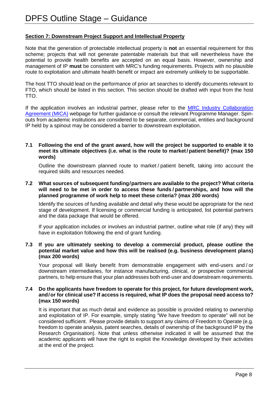# **Section 7: Downstream Project Support and Intellectual Property**

Note that the generation of protectable intellectual property is **not** an essential requirement for this scheme; projects that will not generate patentable materials but that will nevertheless have the potential to provide health benefits are accepted on an equal basis. However, ownership and management of IP **must** be consistent with MRC's funding requirements. Projects with no plausible route to exploitation and ultimate health benefit or impact are extremely unlikely to be supportable.

The host TTO should lead on the performance of prior art searches to identify documents relevant to FTO, which should be listed in this section. This section should be drafted with input from the host TTO.

If the application involves an industrial partner, please refer to the MRC Industry Collaboration [Agreement \(MICA\)](https://mrc.ukri.org/innovation/mrc-industry-collaboration-agreement-mica/#Collaboration%20agreement) webpage for further guidance or consult the relevant Programme Manager. Spinouts from academic institutions are considered to be separate, commercial, entities and background IP held by a spinout may be considered a barrier to downstream exploitation.

#### **7.1 Following the end of the grant award, how will the project be supported to enable it to meet its ultimate objectives (i.e. what is the route to market/patient benefit)? (max 150 words)**

Outline the downstream planned route to market / patient benefit, taking into account the required skills and resources needed.

#### **7.2 What sources of subsequent funding/partners are available to the project? What criteria will need to be met in order to access these funds / partnerships, and how will the planned programme of work help to meet these criteria? (max 200 words)**

Identify the sources of funding available and detail why these would be appropriate for the next stage of development. If licensing or commercial funding is anticipated, list potential partners and the data package that would be offered.

If your application includes or involves an industrial partner, outline what role (if any) they will have in exploitation following the end of grant funding.

#### **7.3 If you are ultimately seeking to develop a commercial product, please outline the potential market value and how this will be realised (e.g. business development plans) (max 200 words)**

Your proposal will likely benefit from demonstrable engagement with end-users and / or downstream intermediaries, for instance manufacturing, clinical, or prospective commercial partners, to help ensure that your plan addresses both end-user and downstream requirements.

#### **7.4 Do the applicants have freedom to operate for this project, for future development work, and/or for clinical use? If access is required, what IP does the proposal need access to? (max 150 words)**

It is important that as much detail and evidence as possible is provided relating to ownership and exploitation of IP. For example, simply stating "We have freedom to operate" will not be considered sufficient. Please provide details to support any claims of Freedom to Operate (e.g. freedom to operate analysis, patent searches, details of ownership of the background IP by the Research Organisation). Note that unless otherwise indicated it will be assumed that the academic applicants will have the right to exploit the Knowledge developed by their activities at the end of the project.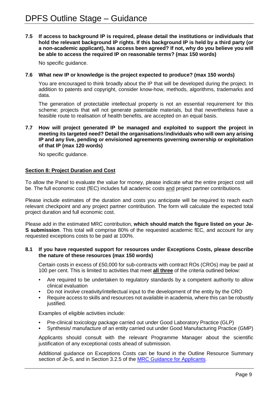**7.5 If access to background IP is required, please detail the institutions or individuals that hold the relevant background IP rights. If this background IP is held by a third party (or a non-academic applicant), has access been agreed? If not, why do you believe you will be able to access the required IP on reasonable terms? (max 150 words)**

No specific quidance.

#### **7.6 What new IP or knowledge is the project expected to produce? (max 150 words)**

You are encouraged to think broadly about the IP that will be developed during the project. In addition to patents and copyright, consider know-how, methods, algorithms, trademarks and data.

The generation of protectable intellectual property is not an essential requirement for this scheme; projects that will not generate patentable materials, but that nevertheless have a feasible route to realisation of health benefits, are accepted on an equal basis.

#### **7.7 How will project generated IP be managed and exploited to support the project in meeting its targeted need? Detail the organisations/individuals who will own any arising IP and any live, pending or envisioned agreements governing ownership or exploitation of that IP (max 120 words)**

No specific guidance.

#### **Section 8: Project Duration and Cost**

To allow the Panel to evaluate the value for money, please indicate what the entire project cost will be. The full economic cost (fEC) includes full academic costs and project partner contributions.

Please include estimates of the duration and costs you anticipate will be required to reach each relevant checkpoint and any project partner contribution. The form will calculate the expected total project duration and full economic cost.

Please add in the estimated MRC contribution, **which should match the figure listed on your Je-S submission**. This total will comprise 80% of the requested academic fEC, and account for any requested exceptions costs to be paid at 100%.

#### **8.1 If you have requested support for resources under Exceptions Costs, please describe the nature of these resources (max 150 words)**

Certain costs in excess of £50,000 for sub-contracts with contract ROs (CROs) may be paid at 100 per cent. This is limited to activities that meet **all three** of the criteria outlined below:

- Are required to be undertaken to regulatory standards by a competent authority to allow clinical evaluation
- Do not involve creativity/intellectual input to the development of the entity by the CRO
- Require access to skills and resources not available in academia, where this can be robustly justified.

Examples of eligible activities include:

- Pre-clinical toxicology package carried out under Good Laboratory Practice (GLP)
- Synthesis/ manufacture of an entity carried out under Good Manufacturing Practice (GMP)

Applicants should consult with the relevant Programme Manager about the scientific justification of any exceptional costs ahead of submission.

Additional guidance on Exceptions Costs can be found in the Outline Resource Summary section of Je-S, and in Section 3.2.5 of the [MRC Guidance for Applicants.](https://mrc.ukri.org/funding/guidance-for-applicants/1-who-can-apply-and-how-to-apply/#1.3)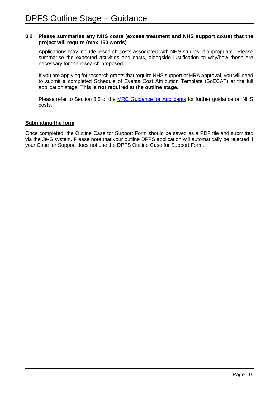#### **8.2 Please summarise any NHS costs (excess treatment and NHS support costs) that the project will require (max 150 words)**

Applications may include research costs associated with NHS studies, if appropriate. Please summarise the expected activities and costs, alongside justification to why/how these are necessary for the research proposed.

If you are applying for research grants that require NHS support or HRA approval, you will need to submit a completed Schedule of Events Cost Attribution Template (SoECAT) at the full application stage. **This is not required at the outline stage.**

Please refer to Section 3.5 of the [MRC Guidance for Applicants](https://mrc.ukri.org/funding/guidance-for-applicants/1-who-can-apply-and-how-to-apply/#1.3) for further guidance on NHS costs.

## **Submitting the form**

Once completed, the Outline Case for Support Form should be saved as a PDF file and submitted via the Je-S system. Please note that your outline DPFS application will automatically be rejected if your Case for Support does not use the DPFS Outline Case for Support Form.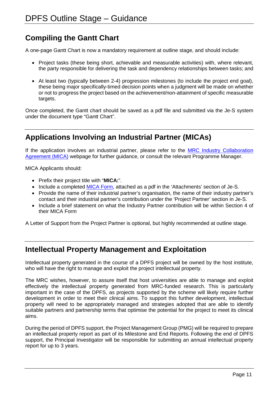# <span id="page-11-0"></span>**Compiling the Gantt Chart**

A one-page Gantt Chart is now a mandatory requirement at outline stage, and should include:

- Project tasks (these being short, achievable and measurable activities) with, where relevant, the party responsible for delivering the task and dependency relationships between tasks; and
- At least two (typically between 2-4) progression milestones (to include the project end goal), these being major specifically-timed decision points when a judgment will be made on whether or not to progress the project based on the achievement/non-attainment of specific measurable targets.

Once completed, the Gantt chart should be saved as a pdf file and submitted via the Je-S system under the document type "Gantt Chart".

# <span id="page-11-1"></span>**Applications Involving an Industrial Partner (MICAs)**

If the application involves an industrial partner, please refer to the **MRC Industry Collaboration** [Agreement \(MICA\)](https://mrc.ukri.org/innovation/mrc-industry-collaboration-agreement-mica/#Collaboration%20agreement) webpage for further guidance, or consult the relevant Programme Manager.

MICA Applicants should:

- Prefix their project title with "**MICA:**".
- Include a completed [MICA Form,](https://mrc.ukri.org/documents/doc/mica-form/) attached as a pdf in the 'Attachments' section of Je-S.
- Provide the name of their industrial partner's organisation, the name of their industry partner's contact and their industrial partner's contribution under the 'Project Partner' section in Je-S.
- Include a brief statement on what the Industry Partner contribution will be within Section 4 of their MICA Form

A Letter of Support from the Project Partner is optional, but highly recommended at outline stage.

# <span id="page-11-2"></span>**Intellectual Property Management and Exploitation**

Intellectual property generated in the course of a DPFS project will be owned by the host institute, who will have the right to manage and exploit the project intellectual property.

The MRC wishes, however, to assure itself that host universities are able to manage and exploit effectively the intellectual property generated from MRC-funded research. This is particularly important in the case of the DPFS, as projects supported by the scheme will likely require further development in order to meet their clinical aims. To support this further development, intellectual property will need to be appropriately managed and strategies adopted that are able to identify suitable partners and partnership terms that optimise the potential for the project to meet its clinical aims.

During the period of DPFS support, the Project Management Group (PMG) will be required to prepare an intellectual property report as part of its Milestone and End Reports. Following the end of DPFS support, the Principal Investigator will be responsible for submitting an annual intellectual property report for up to 3 years.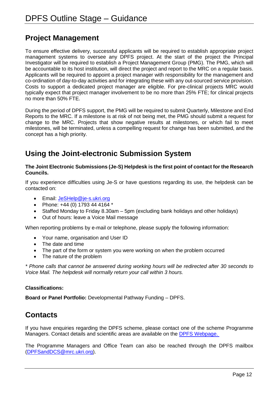# <span id="page-12-0"></span>**Project Management**

To ensure effective delivery, successful applicants will be required to establish appropriate project management systems to oversee any DPFS project. At the start of the project the Principal Investigator will be required to establish a Project Management Group (PMG). The PMG, which will be accountable to its host institution, will direct the project and report to the MRC on a regular basis. Applicants will be required to appoint a project manager with responsibility for the management and co-ordination of day-to-day activities and for integrating these with any out-sourced service provision. Costs to support a dedicated project manager are eligible. For pre-clinical projects MRC would typically expect that project manager involvement to be no more than 25% FTE; for clinical projects no more than 50% FTE.

During the period of DPFS support, the PMG will be required to submit Quarterly, Milestone and End Reports to the MRC. If a milestone is at risk of not being met, the PMG should submit a request for change to the MRC. Projects that show negative results at milestones, or which fail to meet milestones, will be terminated, unless a compelling request for change has been submitted, and the concept has a high priority.

# <span id="page-12-1"></span>**Using the Joint-electronic Submission System**

## **The Joint Electronic Submissions (Je-S) Helpdesk is the first point of contact for the Research Councils.**

If you experience difficulties using Je-S or have questions regarding its use, the helpdesk can be contacted on:

- Email: [JeSHelp@je-s.ukri.org](mailto:JeSHelp@je-s.ukri.org)
- Phone: +44 (0) 1793 44 4164 \*
- Staffed Monday to Friday 8.30am 5pm (excluding bank holidays and other holidays)
- Out of hours: leave a Voice Mail message

When reporting problems by e-mail or telephone, please supply the following information:

- Your name, organisation and User ID
- The date and time
- The part of the form or system you were working on when the problem occurred
- The nature of the problem

*\* Phone calls that cannot be answered during working hours will be redirected after 30 seconds to Voice Mail. The helpdesk will normally return your call within 3 hours.* 

# **Classifications:**

**Board or Panel Portfolio:** Developmental Pathway Funding – DPFS.

# <span id="page-12-2"></span>**Contacts**

If you have enquiries regarding the DPFS scheme, please contact one of the scheme Programme Managers. Contact details and scientific areas are available on the [DPFS Webpage.](https://mrc.ukri.org/funding/science-areas/translation/biomedical-catalyst/) 

The Programme Managers and Office Team can also be reached through the DPFS mailbox [\(DPFSandDCS@mrc.ukri.org\)](mailto:DPFSandDCS@mrc.ukri.org).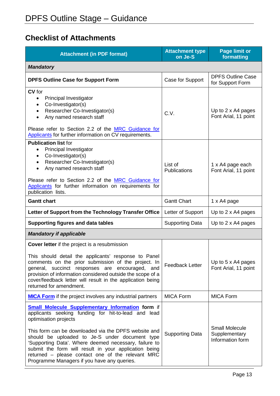# <span id="page-13-0"></span>**Checklist of Attachments**

| <b>Attachment (in PDF format)</b>                                                                                                                                                                                                                                                                                                                                             | <b>Attachment type</b><br>on Je-S | <b>Page limit or</b><br>formatting                         |  |  |
|-------------------------------------------------------------------------------------------------------------------------------------------------------------------------------------------------------------------------------------------------------------------------------------------------------------------------------------------------------------------------------|-----------------------------------|------------------------------------------------------------|--|--|
| <b>Mandatory</b>                                                                                                                                                                                                                                                                                                                                                              |                                   |                                                            |  |  |
| <b>DPFS Outline Case for Support Form</b>                                                                                                                                                                                                                                                                                                                                     | Case for Support                  | <b>DPFS Outline Case</b><br>for Support Form               |  |  |
| CV for<br>Principal Investigator<br>Co-Investigator(s)<br>٠<br>Researcher Co-Investigator(s)<br>٠<br>Any named research staff<br>$\bullet$<br>Please refer to Section 2.2 of the MRC Guidance for<br>Applicants for further information on CV requirements.                                                                                                                   | C.V.                              | Up to 2 x A4 pages<br>Font Arial, 11 point                 |  |  |
| <b>Publication list for</b><br>Principal Investigator<br>Co-Investigator(s)<br>Researcher Co-Investigator(s)<br>$\bullet$<br>Any named research staff<br>$\bullet$<br>Please refer to Section 2.2 of the MRC Guidance for<br>Applicants for further information on requirements for<br>publication lists.                                                                     | List of<br>Publications           | 1 x A4 page each<br>Font Arial, 11 point                   |  |  |
| <b>Gantt chart</b>                                                                                                                                                                                                                                                                                                                                                            | <b>Gantt Chart</b>                | 1 x A4 page                                                |  |  |
| Letter of Support from the Technology Transfer Office                                                                                                                                                                                                                                                                                                                         | Letter of Support                 | Up to 2 x A4 pages                                         |  |  |
| <b>Supporting figures and data tables</b>                                                                                                                                                                                                                                                                                                                                     | <b>Supporting Data</b>            | Up to 2 x A4 pages                                         |  |  |
| <b>Mandatory if applicable</b>                                                                                                                                                                                                                                                                                                                                                |                                   |                                                            |  |  |
| <b>Cover letter</b> if the project is a resubmission<br>This should detail the applicants' response to Panel<br>comments on the prior submission of the project. In<br>general, succinct responses are encouraged, and<br>provision of information considered outside the scope of a<br>cover/feedback letter will result in the application being<br>returned for amendment. | <b>Feedback Letter</b>            | Up to 5 x A4 pages<br>Font Arial, 11 point                 |  |  |
| <b>MICA Form</b> if the project involves any industrial partners                                                                                                                                                                                                                                                                                                              | <b>MICA Form</b>                  | <b>MICA Form</b>                                           |  |  |
| <b>Small Molecule Supplementary Information form if</b><br>applicants seeking funding for hit-to-lead and lead<br>optimisation projects                                                                                                                                                                                                                                       |                                   |                                                            |  |  |
| This form can be downloaded via the DPFS website and<br>should be uploaded to Je-S under document type<br>'Supporting Data'. Where deemed necessary, failure to<br>submit the form will result in your application being<br>returned - please contact one of the relevant MRC<br>Programme Managers if you have any queries.                                                  | <b>Supporting Data</b>            | <b>Small Molecule</b><br>Supplementary<br>Information form |  |  |